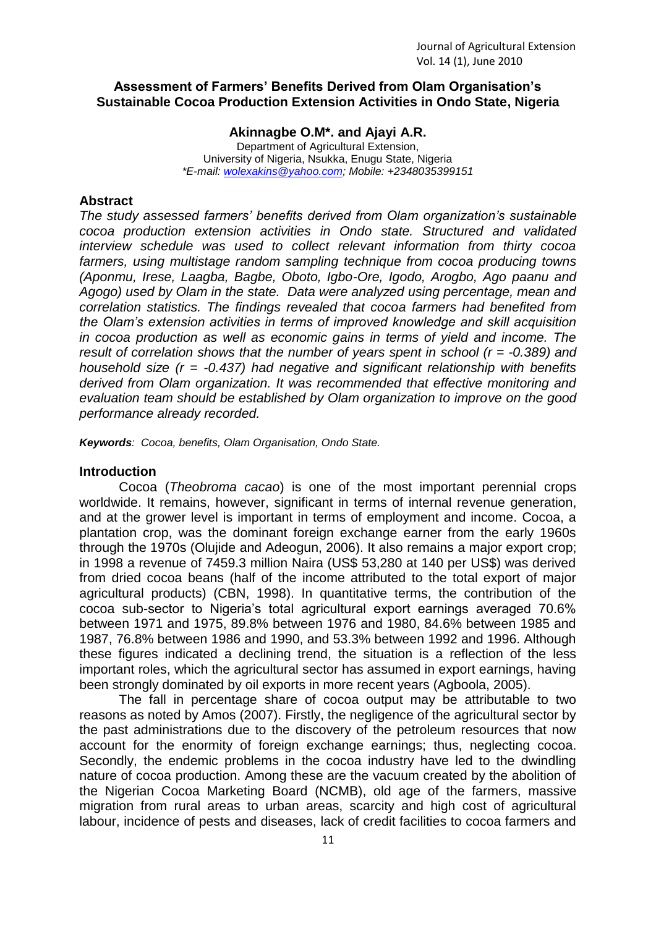## **Assessment of Farmers' Benefits Derived from Olam Organisation's Sustainable Cocoa Production Extension Activities in Ondo State, Nigeria**

**Akinnagbe O.M\*. and Ajayi A.R.**

Department of Agricultural Extension, University of Nigeria, Nsukka, Enugu State, Nigeria *\*E-mail: [wolexakins@yahoo.com;](mailto:wolexakins@yahoo.com) Mobile: +2348035399151*

## **Abstract**

*The study assessed farmers' benefits derived from Olam organization's sustainable cocoa production extension activities in Ondo state. Structured and validated interview schedule was used to collect relevant information from thirty cocoa farmers, using multistage random sampling technique from cocoa producing towns (Aponmu, Irese, Laagba, Bagbe, Oboto, Igbo-Ore, Igodo, Arogbo, Ago paanu and Agogo) used by Olam in the state. Data were analyzed using percentage, mean and correlation statistics. The findings revealed that cocoa farmers had benefited from the Olam's extension activities in terms of improved knowledge and skill acquisition in cocoa production as well as economic gains in terms of yield and income. The result of correlation shows that the number of years spent in school (r = -0.389) and household size (r = -0.437) had negative and significant relationship with benefits derived from Olam organization. It was recommended that effective monitoring and evaluation team should be established by Olam organization to improve on the good performance already recorded.*

*Keywords: Cocoa, benefits, Olam Organisation, Ondo State.*

## **Introduction**

Cocoa (*Theobroma cacao*) is one of the most important perennial crops worldwide. It remains, however, significant in terms of internal revenue generation, and at the grower level is important in terms of employment and income. Cocoa, a plantation crop, was the dominant foreign exchange earner from the early 1960s through the 1970s (Olujide and Adeogun, 2006). It also remains a major export crop; in 1998 a revenue of 7459.3 million Naira (US\$ 53,280 at 140 per US\$) was derived from dried cocoa beans (half of the income attributed to the total export of major agricultural products) (CBN, 1998). In quantitative terms, the contribution of the cocoa sub-sector to Nigeria's total agricultural export earnings averaged 70.6% between 1971 and 1975, 89.8% between 1976 and 1980, 84.6% between 1985 and 1987, 76.8% between 1986 and 1990, and 53.3% between 1992 and 1996. Although these figures indicated a declining trend, the situation is a reflection of the less important roles, which the agricultural sector has assumed in export earnings, having been strongly dominated by oil exports in more recent years (Agboola, 2005).

The fall in percentage share of cocoa output may be attributable to two reasons as noted by Amos (2007). Firstly, the negligence of the agricultural sector by the past administrations due to the discovery of the petroleum resources that now account for the enormity of foreign exchange earnings; thus, neglecting cocoa. Secondly, the endemic problems in the cocoa industry have led to the dwindling nature of cocoa production. Among these are the vacuum created by the abolition of the Nigerian Cocoa Marketing Board (NCMB), old age of the farmers, massive migration from rural areas to urban areas, scarcity and high cost of agricultural labour, incidence of pests and diseases, lack of credit facilities to cocoa farmers and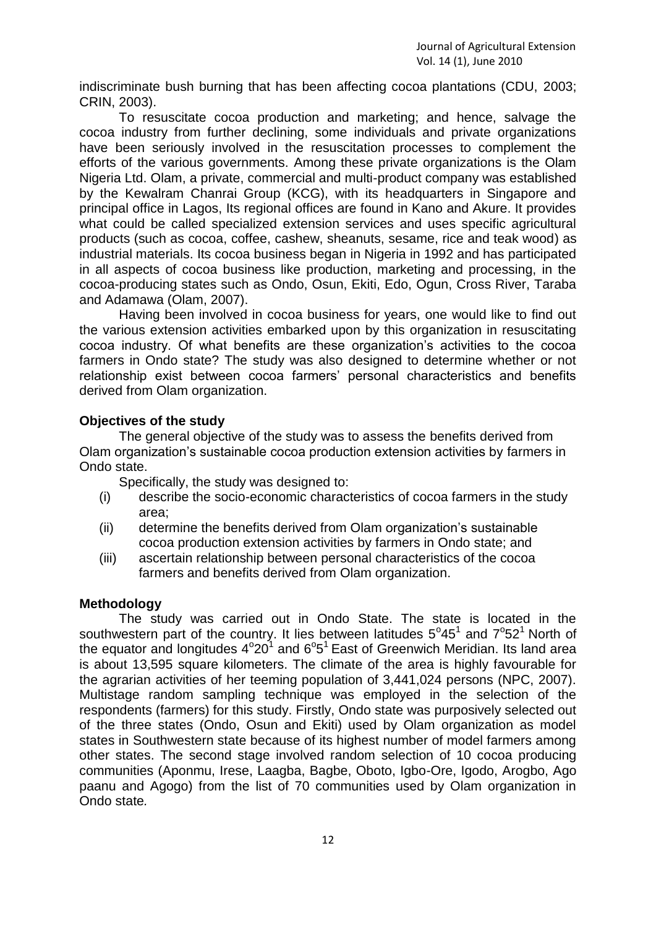indiscriminate bush burning that has been affecting cocoa plantations (CDU, 2003; CRIN, 2003).

To resuscitate cocoa production and marketing; and hence, salvage the cocoa industry from further declining, some individuals and private organizations have been seriously involved in the resuscitation processes to complement the efforts of the various governments. Among these private organizations is the Olam Nigeria Ltd. Olam, a private, commercial and multi-product company was established by the Kewalram Chanrai Group (KCG), with its headquarters in Singapore and principal office in Lagos, Its regional offices are found in Kano and Akure. It provides what could be called specialized extension services and uses specific agricultural products (such as cocoa, coffee, cashew, sheanuts, sesame, rice and teak wood) as industrial materials. Its cocoa business began in Nigeria in 1992 and has participated in all aspects of cocoa business like production, marketing and processing, in the cocoa-producing states such as Ondo, Osun, Ekiti, Edo, Ogun, Cross River, Taraba and Adamawa (Olam, 2007).

Having been involved in cocoa business for years, one would like to find out the various extension activities embarked upon by this organization in resuscitating cocoa industry. Of what benefits are these organization's activities to the cocoa farmers in Ondo state? The study was also designed to determine whether or not relationship exist between cocoa farmers' personal characteristics and benefits derived from Olam organization.

## **Objectives of the study**

The general objective of the study was to assess the benefits derived from Olam organization's sustainable cocoa production extension activities by farmers in Ondo state.

Specifically, the study was designed to:

- (i) describe the socio-economic characteristics of cocoa farmers in the study area;
- (ii) determine the benefits derived from Olam organization's sustainable cocoa production extension activities by farmers in Ondo state; and
- (iii) ascertain relationship between personal characteristics of the cocoa farmers and benefits derived from Olam organization.

## **Methodology**

The study was carried out in Ondo State. The state is located in the southwestern part of the country. It lies between latitudes  $5^{\circ}45^{\circ}$  and  $7^{\circ}52^{\circ}$  North of the equator and longitudes  $4^{\circ}20^{\overline{1}}$  and  $6^{\circ}5^{\overline{1}}$  East of Greenwich Meridian. Its land area is about 13,595 square kilometers. The climate of the area is highly favourable for the agrarian activities of her teeming population of 3,441,024 persons (NPC, 2007). Multistage random sampling technique was employed in the selection of the respondents (farmers) for this study. Firstly, Ondo state was purposively selected out of the three states (Ondo, Osun and Ekiti) used by Olam organization as model states in Southwestern state because of its highest number of model farmers among other states. The second stage involved random selection of 10 cocoa producing communities (Aponmu, Irese, Laagba, Bagbe, Oboto, Igbo-Ore, Igodo, Arogbo, Ago paanu and Agogo) from the list of 70 communities used by Olam organization in Ondo state*.*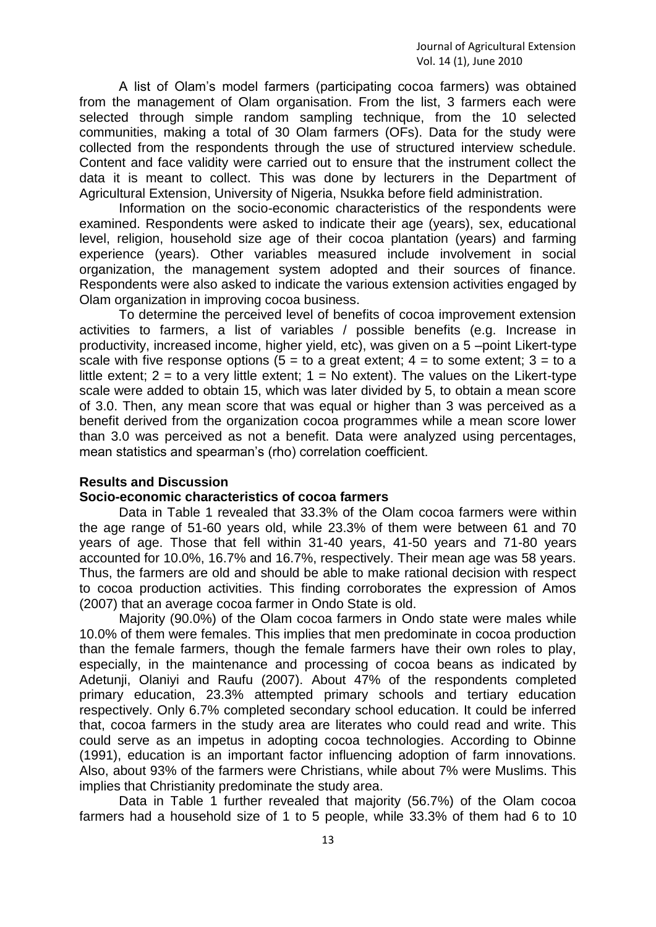A list of Olam's model farmers (participating cocoa farmers) was obtained from the management of Olam organisation. From the list, 3 farmers each were selected through simple random sampling technique, from the 10 selected communities, making a total of 30 Olam farmers (OFs). Data for the study were collected from the respondents through the use of structured interview schedule. Content and face validity were carried out to ensure that the instrument collect the data it is meant to collect. This was done by lecturers in the Department of Agricultural Extension, University of Nigeria, Nsukka before field administration.

Information on the socio-economic characteristics of the respondents were examined. Respondents were asked to indicate their age (years), sex, educational level, religion, household size age of their cocoa plantation (years) and farming experience (years). Other variables measured include involvement in social organization, the management system adopted and their sources of finance. Respondents were also asked to indicate the various extension activities engaged by Olam organization in improving cocoa business.

To determine the perceived level of benefits of cocoa improvement extension activities to farmers, a list of variables / possible benefits (e.g. Increase in productivity, increased income, higher yield, etc), was given on a 5 –point Likert-type scale with five response options ( $5 =$  to a great extent;  $4 =$  to some extent;  $3 =$  to a little extent;  $2 =$  to a very little extent;  $1 =$  No extent). The values on the Likert-type scale were added to obtain 15, which was later divided by 5, to obtain a mean score of 3.0. Then, any mean score that was equal or higher than 3 was perceived as a benefit derived from the organization cocoa programmes while a mean score lower than 3.0 was perceived as not a benefit. Data were analyzed using percentages, mean statistics and spearman's (rho) correlation coefficient.

## **Results and Discussion**

## **Socio-economic characteristics of cocoa farmers**

Data in Table 1 revealed that 33.3% of the Olam cocoa farmers were within the age range of 51-60 years old, while 23.3% of them were between 61 and 70 years of age. Those that fell within 31-40 years, 41-50 years and 71-80 years accounted for 10.0%, 16.7% and 16.7%, respectively. Their mean age was 58 years. Thus, the farmers are old and should be able to make rational decision with respect to cocoa production activities. This finding corroborates the expression of Amos (2007) that an average cocoa farmer in Ondo State is old.

Majority (90.0%) of the Olam cocoa farmers in Ondo state were males while 10.0% of them were females. This implies that men predominate in cocoa production than the female farmers, though the female farmers have their own roles to play, especially, in the maintenance and processing of cocoa beans as indicated by Adetunji, Olaniyi and Raufu (2007). About 47% of the respondents completed primary education, 23.3% attempted primary schools and tertiary education respectively. Only 6.7% completed secondary school education. It could be inferred that, cocoa farmers in the study area are literates who could read and write. This could serve as an impetus in adopting cocoa technologies. According to Obinne (1991), education is an important factor influencing adoption of farm innovations. Also, about 93% of the farmers were Christians, while about 7% were Muslims. This implies that Christianity predominate the study area.

Data in Table 1 further revealed that majority (56.7%) of the Olam cocoa farmers had a household size of 1 to 5 people, while 33.3% of them had 6 to 10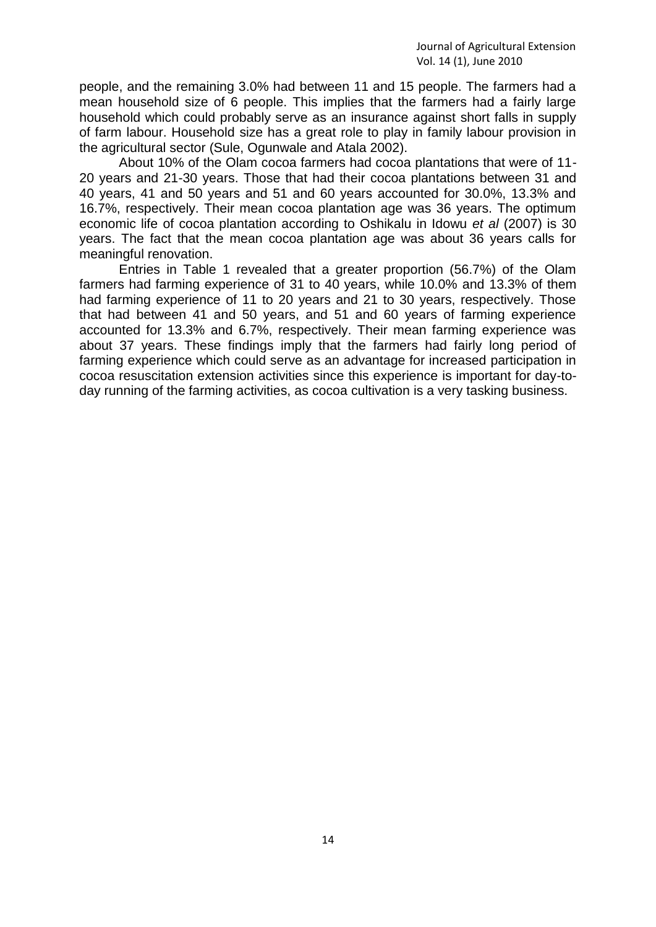people, and the remaining 3.0% had between 11 and 15 people. The farmers had a mean household size of 6 people. This implies that the farmers had a fairly large household which could probably serve as an insurance against short falls in supply of farm labour. Household size has a great role to play in family labour provision in the agricultural sector (Sule, Ogunwale and Atala 2002).

About 10% of the Olam cocoa farmers had cocoa plantations that were of 11- 20 years and 21-30 years. Those that had their cocoa plantations between 31 and 40 years, 41 and 50 years and 51 and 60 years accounted for 30.0%, 13.3% and 16.7%, respectively. Their mean cocoa plantation age was 36 years. The optimum economic life of cocoa plantation according to Oshikalu in Idowu *et al* (2007) is 30 years. The fact that the mean cocoa plantation age was about 36 years calls for meaningful renovation.

Entries in Table 1 revealed that a greater proportion (56.7%) of the Olam farmers had farming experience of 31 to 40 years, while 10.0% and 13.3% of them had farming experience of 11 to 20 years and 21 to 30 years, respectively. Those that had between 41 and 50 years, and 51 and 60 years of farming experience accounted for 13.3% and 6.7%, respectively. Their mean farming experience was about 37 years. These findings imply that the farmers had fairly long period of farming experience which could serve as an advantage for increased participation in cocoa resuscitation extension activities since this experience is important for day-today running of the farming activities, as cocoa cultivation is a very tasking business.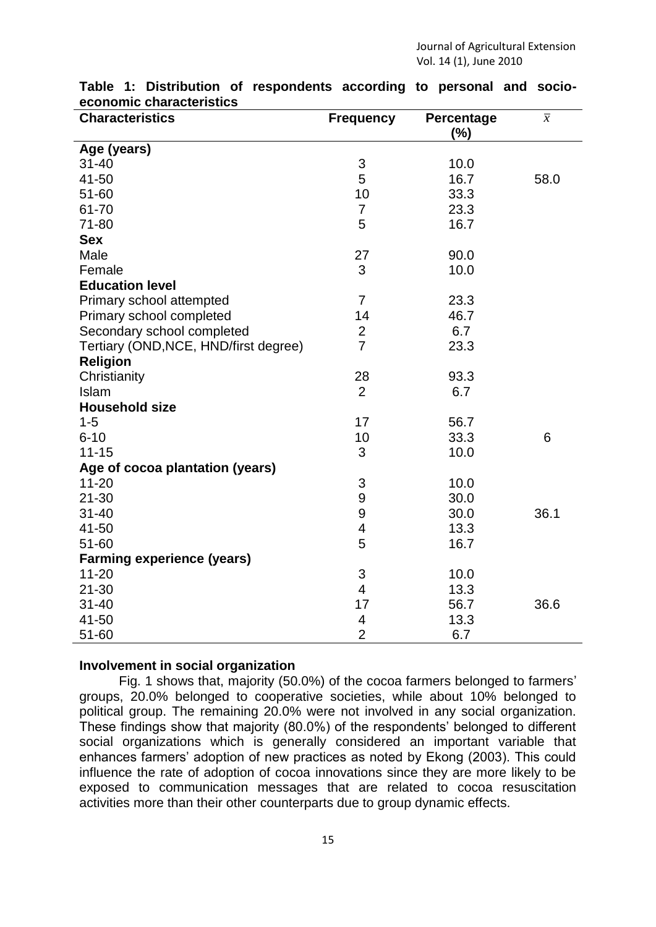| <b>Characteristics</b>                | <b>Frequency</b>          | <b>Percentage</b> | $\overline{x}$ |
|---------------------------------------|---------------------------|-------------------|----------------|
|                                       |                           | (%)               |                |
| Age (years)                           |                           |                   |                |
| $31 - 40$                             | $\sqrt{3}$                | 10.0              |                |
| 41-50                                 | 5                         | 16.7              | 58.0           |
| 51-60                                 | 10                        | 33.3              |                |
| 61-70                                 | $\overline{7}$            | 23.3              |                |
| 71-80                                 | 5                         | 16.7              |                |
| <b>Sex</b>                            |                           |                   |                |
| Male                                  | 27                        | 90.0              |                |
| Female                                | 3                         | 10.0              |                |
| <b>Education level</b>                |                           |                   |                |
| Primary school attempted              | $\overline{7}$            | 23.3              |                |
| Primary school completed              | 14                        | 46.7              |                |
| Secondary school completed            | $\overline{\mathbf{c}}$   | 6.7               |                |
| Tertiary (OND, NCE, HND/first degree) | $\overline{7}$            | 23.3              |                |
| <b>Religion</b>                       |                           |                   |                |
| Christianity                          | 28                        | 93.3              |                |
| Islam                                 | $\overline{2}$            | 6.7               |                |
| <b>Household size</b>                 |                           |                   |                |
| $1 - 5$                               | 17                        | 56.7              |                |
| $6 - 10$                              | 10                        | 33.3              | 6              |
| $11 - 15$                             | 3                         | 10.0              |                |
| Age of cocoa plantation (years)       |                           |                   |                |
| $11 - 20$                             | 3                         | 10.0              |                |
| $21 - 30$                             | 9                         | 30.0              |                |
| $31 - 40$                             | 9                         | 30.0              | 36.1           |
| 41-50                                 | 4                         | 13.3              |                |
| 51-60                                 | 5                         | 16.7              |                |
| <b>Farming experience (years)</b>     |                           |                   |                |
| $11 - 20$                             | $\ensuremath{\mathsf{3}}$ | 10.0              |                |
| $21 - 30$                             | $\overline{\mathbf{4}}$   | 13.3              |                |
| $31 - 40$                             | 17                        | 56.7              | 36.6           |
| 41-50                                 | 4                         | 13.3              |                |
| 51-60                                 | $\overline{2}$            | 6.7               |                |

#### **Table 1: Distribution of respondents according to personal and socioeconomic characteristics**

#### **Involvement in social organization**

Fig. 1 shows that, majority (50.0%) of the cocoa farmers belonged to farmers' groups, 20.0% belonged to cooperative societies, while about 10% belonged to political group. The remaining 20.0% were not involved in any social organization. These findings show that majority (80.0%) of the respondents' belonged to different social organizations which is generally considered an important variable that enhances farmers' adoption of new practices as noted by Ekong (2003). This could influence the rate of adoption of cocoa innovations since they are more likely to be exposed to communication messages that are related to cocoa resuscitation activities more than their other counterparts due to group dynamic effects.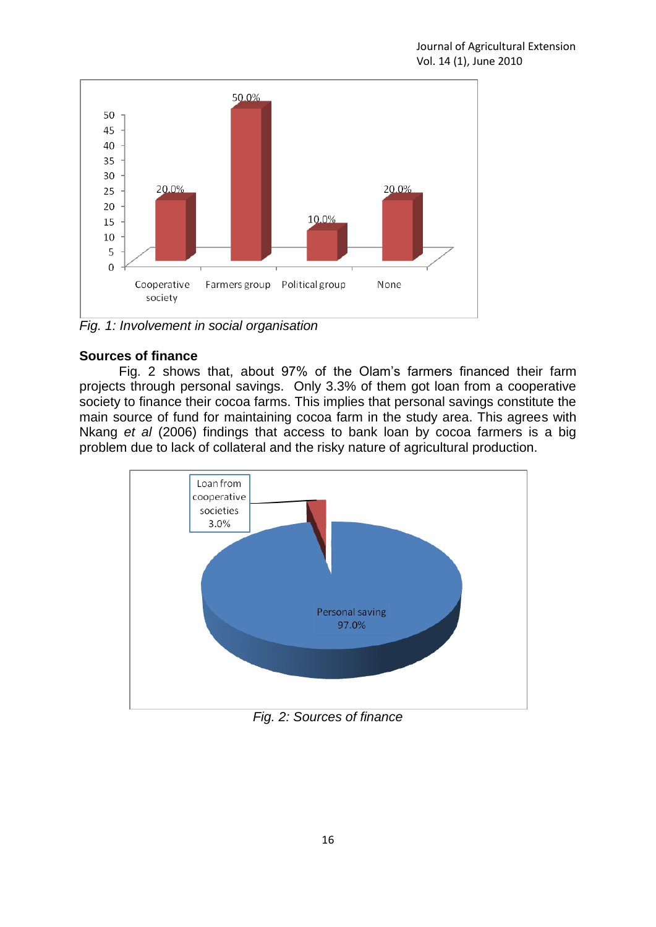

*Fig. 1: Involvement in social organisation*

# **Sources of finance**

Fig. 2 shows that, about 97% of the Olam's farmers financed their farm projects through personal savings. Only 3.3% of them got loan from a cooperative society to finance their cocoa farms. This implies that personal savings constitute the main source of fund for maintaining cocoa farm in the study area. This agrees with Nkang *et al* (2006) findings that access to bank loan by cocoa farmers is a big problem due to lack of collateral and the risky nature of agricultural production.



*Fig. 2: Sources of finance*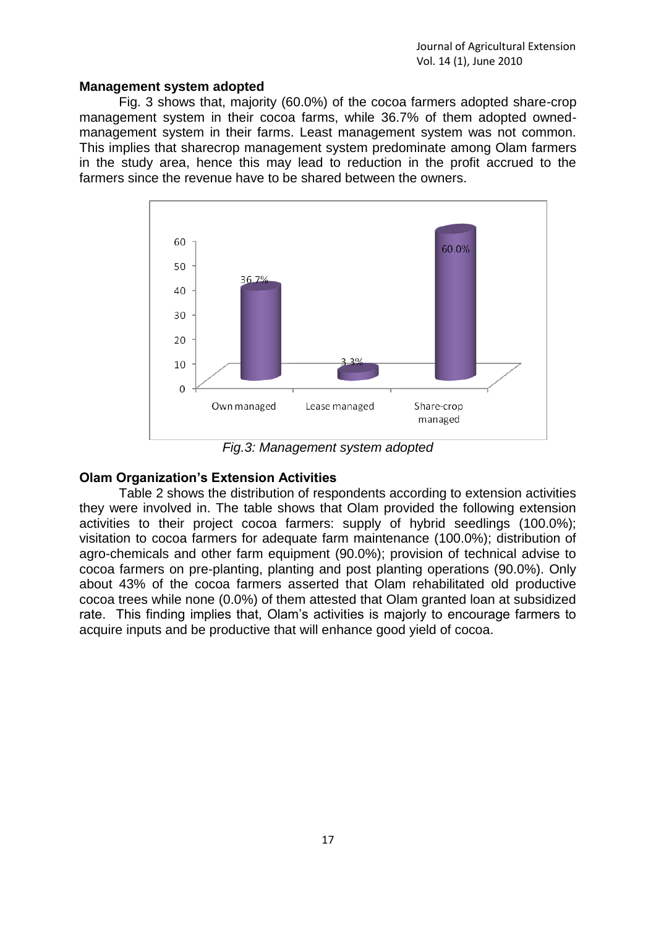### **Management system adopted**

Fig. 3 shows that, majority (60.0%) of the cocoa farmers adopted share-crop management system in their cocoa farms, while 36.7% of them adopted ownedmanagement system in their farms. Least management system was not common. This implies that sharecrop management system predominate among Olam farmers in the study area, hence this may lead to reduction in the profit accrued to the farmers since the revenue have to be shared between the owners.



*Fig.3: Management system adopted*

## **Olam Organization's Extension Activities**

Table 2 shows the distribution of respondents according to extension activities they were involved in. The table shows that Olam provided the following extension activities to their project cocoa farmers: supply of hybrid seedlings (100.0%); visitation to cocoa farmers for adequate farm maintenance (100.0%); distribution of agro-chemicals and other farm equipment (90.0%); provision of technical advise to cocoa farmers on pre-planting, planting and post planting operations (90.0%). Only about 43% of the cocoa farmers asserted that Olam rehabilitated old productive cocoa trees while none (0.0%) of them attested that Olam granted loan at subsidized rate. This finding implies that, Olam's activities is majorly to encourage farmers to acquire inputs and be productive that will enhance good yield of cocoa.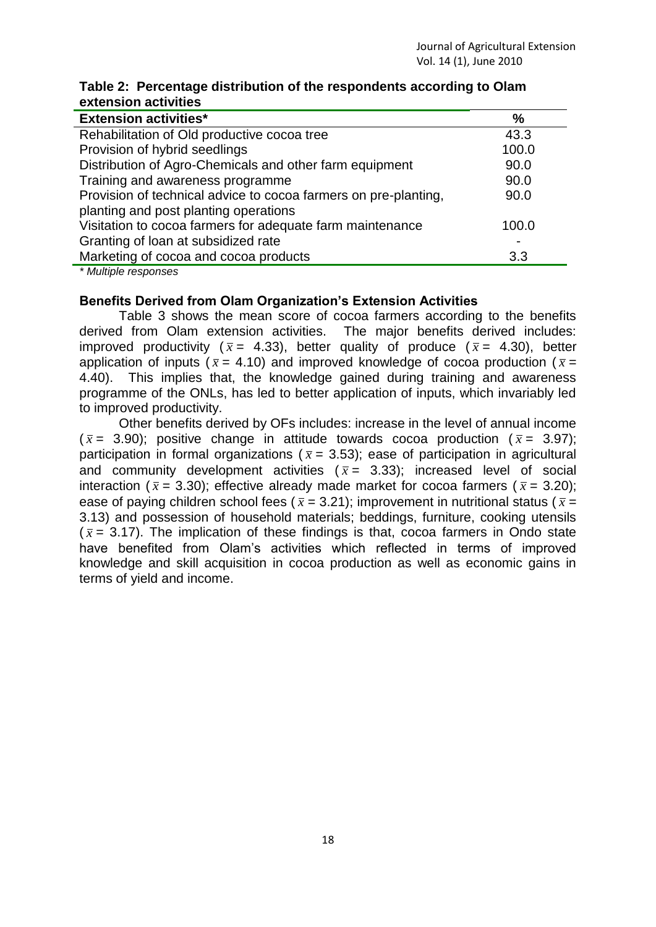| <b>Extension activities*</b>                                    | $\frac{1}{2}$ |
|-----------------------------------------------------------------|---------------|
| Rehabilitation of Old productive cocoa tree                     | 43.3          |
| Provision of hybrid seedlings                                   | 100.0         |
| Distribution of Agro-Chemicals and other farm equipment         | 90.0          |
| Training and awareness programme                                | 90.0          |
| Provision of technical advice to cocoa farmers on pre-planting, | 90.0          |
| planting and post planting operations                           |               |
| Visitation to cocoa farmers for adequate farm maintenance       | 100.0         |
| Granting of loan at subsidized rate                             |               |
| Marketing of cocoa and cocoa products                           | 3.3           |

### **Table 2: Percentage distribution of the respondents according to Olam extension activities**

*\* Multiple responses*

## **Benefits Derived from Olam Organization's Extension Activities**

Table 3 shows the mean score of cocoa farmers according to the benefits derived from Olam extension activities. The major benefits derived includes: improved productivity ( $\bar{x}$  = 4.33), better quality of produce ( $\bar{x}$  = 4.30), better application of inputs ( $\bar{x}$  = 4.10) and improved knowledge of cocoa production ( $\bar{x}$  = 4.40). This implies that, the knowledge gained during training and awareness programme of the ONLs, has led to better application of inputs, which invariably led to improved productivity.

Other benefits derived by OFs includes: increase in the level of annual income  $(\bar{x}$  = 3.90); positive change in attitude towards cocoa production ( $\bar{x}$  = 3.97); participation in formal organizations ( $\bar{x}$  = 3.53); ease of participation in agricultural and community development activities  $(\bar{x} = 3.33)$ ; increased level of social interaction ( $\bar{x}$  = 3.30); effective already made market for cocoa farmers ( $\bar{x}$  = 3.20); ease of paying children school fees ( $\bar{x}$  = 3.21); improvement in nutritional status ( $\bar{x}$  = 3.13) and possession of household materials; beddings, furniture, cooking utensils  $(\bar{x}$  = 3.17). The implication of these findings is that, cocoa farmers in Ondo state have benefited from Olam's activities which reflected in terms of improved knowledge and skill acquisition in cocoa production as well as economic gains in terms of yield and income.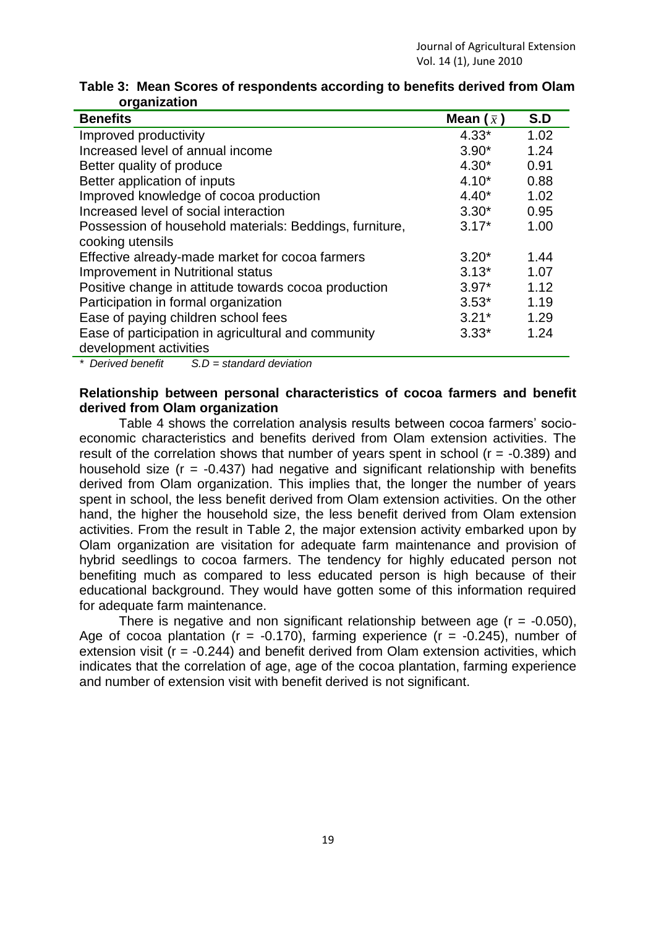| <b>Benefits</b>                                         | Mean $(\bar{x})$ | S.D  |
|---------------------------------------------------------|------------------|------|
| Improved productivity                                   | $4.33*$          | 1.02 |
| Increased level of annual income                        | $3.90*$          | 1.24 |
| Better quality of produce                               | $4.30*$          | 0.91 |
| Better application of inputs                            | $4.10*$          | 0.88 |
| Improved knowledge of cocoa production                  | $4.40*$          | 1.02 |
| Increased level of social interaction                   | $3.30*$          | 0.95 |
| Possession of household materials: Beddings, furniture, | $3.17*$          | 1.00 |
| cooking utensils                                        |                  |      |
| Effective already-made market for cocoa farmers         | $3.20*$          | 1.44 |
| <b>Improvement in Nutritional status</b>                | $3.13*$          | 1.07 |
| Positive change in attitude towards cocoa production    | $3.97*$          | 1.12 |
| Participation in formal organization                    | $3.53*$          | 1.19 |
| Ease of paying children school fees                     | $3.21*$          | 1.29 |
| Ease of participation in agricultural and community     | $3.33*$          | 1.24 |
| development activities                                  |                  |      |
| $*$ Desired benefit $\cap$ D eterological deviation     |                  |      |

**Table 3: Mean Scores of respondents according to benefits derived from Olam organization**

*\* Derived benefit S.D = standard deviation* 

## **Relationship between personal characteristics of cocoa farmers and benefit derived from Olam organization**

Table 4 shows the correlation analysis results between cocoa farmers' socioeconomic characteristics and benefits derived from Olam extension activities. The result of the correlation shows that number of years spent in school ( $r = -0.389$ ) and household size ( $r = -0.437$ ) had negative and significant relationship with benefits derived from Olam organization. This implies that, the longer the number of years spent in school, the less benefit derived from Olam extension activities. On the other hand, the higher the household size, the less benefit derived from Olam extension activities. From the result in Table 2, the major extension activity embarked upon by Olam organization are visitation for adequate farm maintenance and provision of hybrid seedlings to cocoa farmers. The tendency for highly educated person not benefiting much as compared to less educated person is high because of their educational background. They would have gotten some of this information required for adequate farm maintenance.

There is negative and non significant relationship between age  $(r = -0.050)$ , Age of cocoa plantation ( $r = -0.170$ ), farming experience ( $r = -0.245$ ), number of extension visit ( $r = -0.244$ ) and benefit derived from Olam extension activities, which indicates that the correlation of age, age of the cocoa plantation, farming experience and number of extension visit with benefit derived is not significant.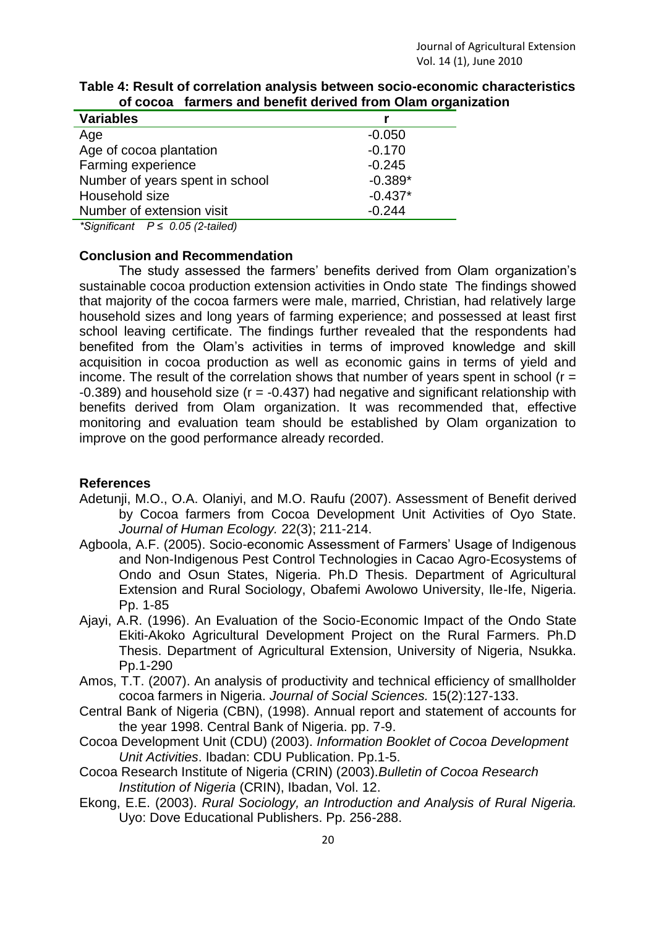| <b>Variables</b>                                                                                                                                                                                                                                                                                                                                         |           |
|----------------------------------------------------------------------------------------------------------------------------------------------------------------------------------------------------------------------------------------------------------------------------------------------------------------------------------------------------------|-----------|
| Age                                                                                                                                                                                                                                                                                                                                                      | $-0.050$  |
| Age of cocoa plantation                                                                                                                                                                                                                                                                                                                                  | $-0.170$  |
| Farming experience                                                                                                                                                                                                                                                                                                                                       | $-0.245$  |
| Number of years spent in school                                                                                                                                                                                                                                                                                                                          | $-0.389*$ |
| Household size                                                                                                                                                                                                                                                                                                                                           | $-0.437*$ |
| Number of extension visit                                                                                                                                                                                                                                                                                                                                | $-0.244$  |
| $*$ $\Omega$ : $\Omega$ : $\Omega$ : $\Omega$ : $\Omega$ : $\Omega$ : $\Omega$ : $\Omega$ : $\Omega$ : $\Omega$ : $\Omega$ : $\Omega$ : $\Omega$ : $\Omega$ : $\Omega$ : $\Omega$ : $\Omega$ : $\Omega$ : $\Omega$ : $\Omega$ : $\Omega$ : $\Omega$ : $\Omega$ : $\Omega$ : $\Omega$ : $\Omega$ : $\Omega$ : $\Omega$ : $\Omega$ : $\Omega$ : $\Omega$ : |           |

### **Table 4: Result of correlation analysis between socio-economic characteristics of cocoa farmers and benefit derived from Olam organization**

*\*Significant P ≤ 0.05 (2-tailed)*

## **Conclusion and Recommendation**

The study assessed the farmers' benefits derived from Olam organization's sustainable cocoa production extension activities in Ondo state The findings showed that majority of the cocoa farmers were male, married, Christian, had relatively large household sizes and long years of farming experience; and possessed at least first school leaving certificate. The findings further revealed that the respondents had benefited from the Olam's activities in terms of improved knowledge and skill acquisition in cocoa production as well as economic gains in terms of yield and income. The result of the correlation shows that number of years spent in school ( $r =$  $-0.389$ ) and household size ( $r = -0.437$ ) had negative and significant relationship with benefits derived from Olam organization. It was recommended that, effective monitoring and evaluation team should be established by Olam organization to improve on the good performance already recorded.

# **References**

- Adetunji, M.O., O.A. Olaniyi, and M.O. Raufu (2007). Assessment of Benefit derived by Cocoa farmers from Cocoa Development Unit Activities of Oyo State. *Journal of Human Ecology.* 22(3); 211-214.
- Agboola, A.F. (2005). Socio-economic Assessment of Farmers' Usage of Indigenous and Non-Indigenous Pest Control Technologies in Cacao Agro-Ecosystems of Ondo and Osun States, Nigeria. Ph.D Thesis. Department of Agricultural Extension and Rural Sociology, Obafemi Awolowo University, Ile-Ife, Nigeria. Pp. 1-85
- Ajayi, A.R. (1996). An Evaluation of the Socio-Economic Impact of the Ondo State Ekiti-Akoko Agricultural Development Project on the Rural Farmers. Ph.D Thesis. Department of Agricultural Extension, University of Nigeria, Nsukka. Pp.1-290
- Amos, T.T. (2007). An analysis of productivity and technical efficiency of smallholder cocoa farmers in Nigeria. *Journal of Social Sciences.* 15(2):127-133.
- Central Bank of Nigeria (CBN), (1998). Annual report and statement of accounts for the year 1998. Central Bank of Nigeria. pp. 7-9.
- Cocoa Development Unit (CDU) (2003). *Information Booklet of Cocoa Development Unit Activities*. Ibadan: CDU Publication. Pp.1-5.
- Cocoa Research Institute of Nigeria (CRIN) (2003).*Bulletin of Cocoa Research Institution of Nigeria* (CRIN), Ibadan, Vol. 12.
- Ekong, E.E. (2003). *Rural Sociology, an Introduction and Analysis of Rural Nigeria.* Uyo: Dove Educational Publishers. Pp. 256-288.